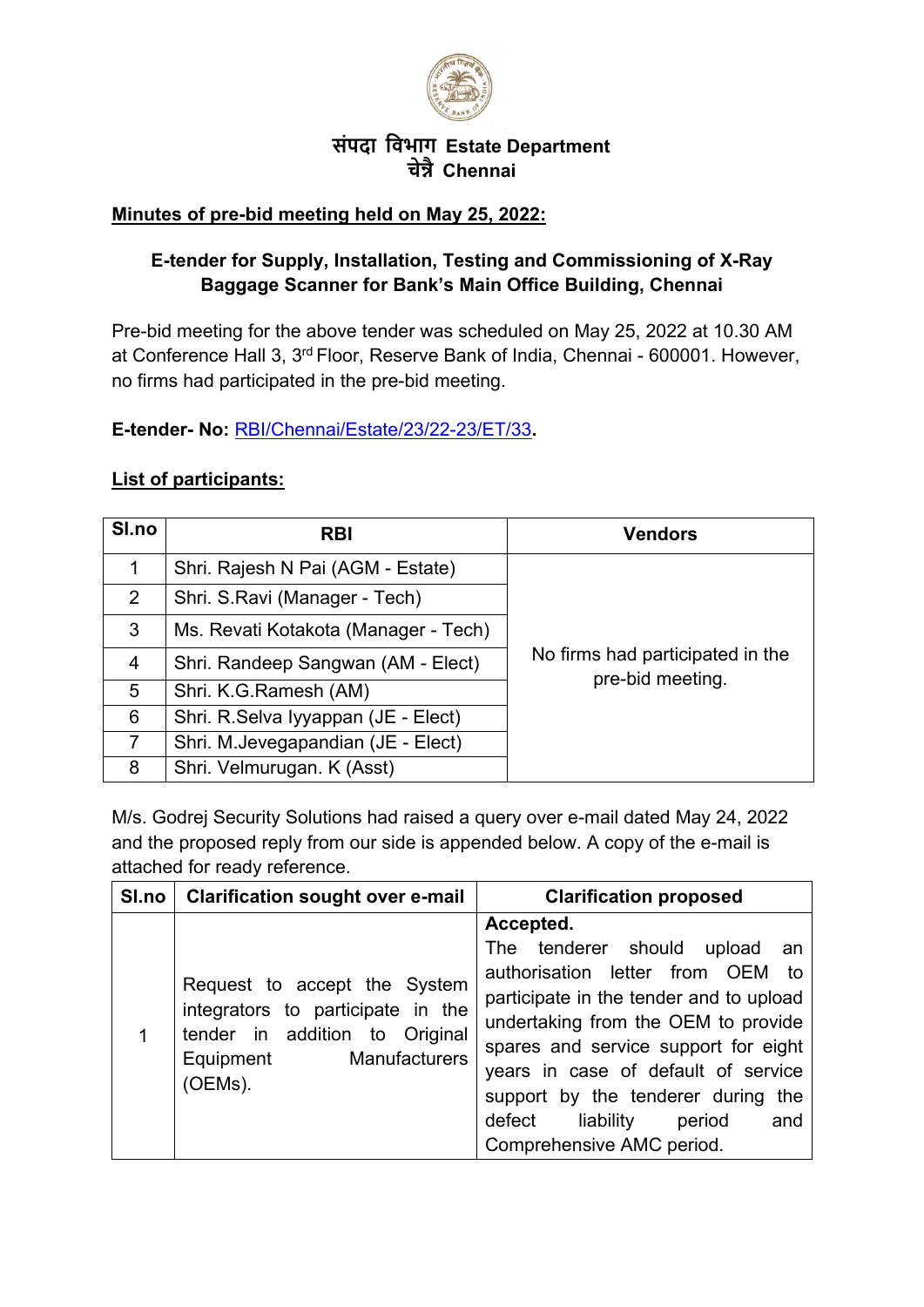

## **संपदा िवभाग Estate Department चे�ै Chennai**

## **Minutes of pre-bid meeting held on May 25, 2022:**

## **E-tender for Supply, Installation, Testing and Commissioning of X-Ray Baggage Scanner for Bank's Main Office Building, Chennai**

Pre-bid meeting for the above tender was scheduled on May 25, 2022 at 10.30 AM at Conference Hall 3, 3rd Floor, Reserve Bank of India, Chennai - 600001. However, no firms had participated in the pre-bid meeting.

**E-tender- No:** [RBI/Chennai/Estate/23/22-23/ET/33](https://rbi.org.in/Scripts/BS_ViewTenders.aspx?Id=6454)**.**

## **List of participants:**

| SI.no          | <b>RBI</b>                           | <b>Vendors</b>                                       |
|----------------|--------------------------------------|------------------------------------------------------|
| 1              | Shri. Rajesh N Pai (AGM - Estate)    |                                                      |
| 2              | Shri. S.Ravi (Manager - Tech)        |                                                      |
| 3              | Ms. Revati Kotakota (Manager - Tech) |                                                      |
| $\overline{4}$ | Shri. Randeep Sangwan (AM - Elect)   | No firms had participated in the<br>pre-bid meeting. |
| 5              | Shri. K.G. Ramesh (AM)               |                                                      |
| 6              | Shri. R.Selva Iyyappan (JE - Elect)  |                                                      |
| $\overline{7}$ | Shri. M.Jevegapandian (JE - Elect)   |                                                      |
| 8              | Shri. Velmurugan. K (Asst)           |                                                      |

M/s. Godrej Security Solutions had raised a query over e-mail dated May 24, 2022 and the proposed reply from our side is appended below. A copy of the e-mail is attached for ready reference.

| SI.no | <b>Clarification sought over e-mail</b>                                                                                                      | <b>Clarification proposed</b>                                                                                                                                                                                                                                                                                                                                 |
|-------|----------------------------------------------------------------------------------------------------------------------------------------------|---------------------------------------------------------------------------------------------------------------------------------------------------------------------------------------------------------------------------------------------------------------------------------------------------------------------------------------------------------------|
| 1     | Request to accept the System<br>integrators to participate in the<br>tender in addition to Original<br>Manufacturers<br>Equipment<br>(OEMs). | Accepted.<br>The tenderer should upload<br>an<br>authorisation letter from OEM to<br>participate in the tender and to upload<br>undertaking from the OEM to provide<br>spares and service support for eight<br>years in case of default of service<br>support by the tenderer during<br>the<br>defect liability<br>period<br>and<br>Comprehensive AMC period. |